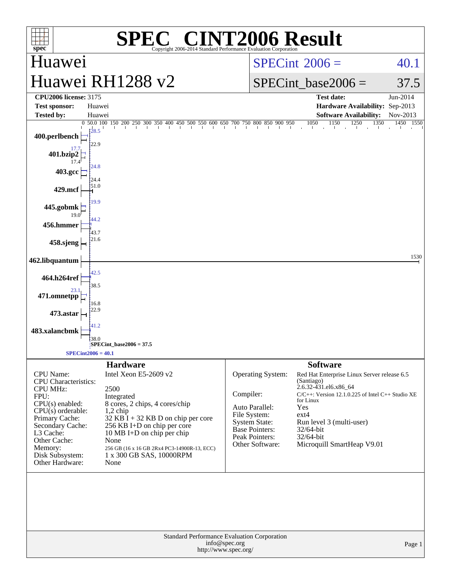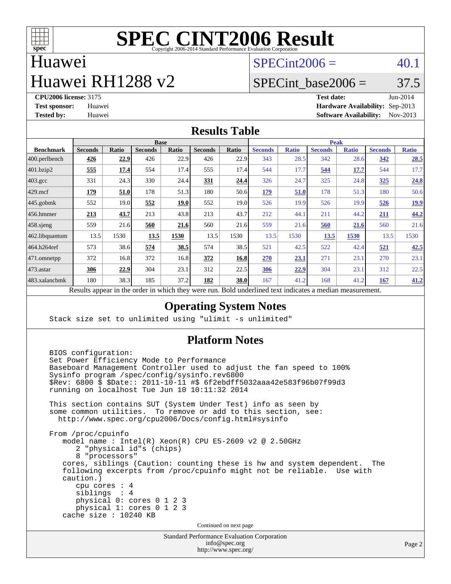

## Huawei

## Huawei RH1288 v2

 $SPECint2006 = 40.1$  $SPECint2006 = 40.1$ 

### SPECint base2006 =  $37.5$

**[CPU2006 license:](http://www.spec.org/auto/cpu2006/Docs/result-fields.html#CPU2006license)** 3175 **[Test date:](http://www.spec.org/auto/cpu2006/Docs/result-fields.html#Testdate)** Jun-2014 **[Test sponsor:](http://www.spec.org/auto/cpu2006/Docs/result-fields.html#Testsponsor)** Huawei **[Hardware Availability:](http://www.spec.org/auto/cpu2006/Docs/result-fields.html#HardwareAvailability)** Sep-2013 **[Tested by:](http://www.spec.org/auto/cpu2006/Docs/result-fields.html#Testedby)** Huawei **[Software Availability:](http://www.spec.org/auto/cpu2006/Docs/result-fields.html#SoftwareAvailability)** Nov-2013

#### **[Results Table](http://www.spec.org/auto/cpu2006/Docs/result-fields.html#ResultsTable)**

|                    | <b>Base</b>                                                                                                                     |              |                |       |                |       | <b>Peak</b>    |              |                |              |                |              |
|--------------------|---------------------------------------------------------------------------------------------------------------------------------|--------------|----------------|-------|----------------|-------|----------------|--------------|----------------|--------------|----------------|--------------|
| <b>Benchmark</b>   | <b>Seconds</b>                                                                                                                  | <b>Ratio</b> | <b>Seconds</b> | Ratio | <b>Seconds</b> | Ratio | <b>Seconds</b> | <b>Ratio</b> | <b>Seconds</b> | <b>Ratio</b> | <b>Seconds</b> | <b>Ratio</b> |
| $ 400$ .perlbench  | 426                                                                                                                             | 22.9         | 426            | 22.9  | 426            | 22.9  | 343            | 28.5         | 342            | 28.6         | 342            | 28.5         |
| 401.bzip2          | 555                                                                                                                             | 17.4         | 554            | 17.4  | 555            | 17.4  | 544            | 17.7         | 544            | 17.7         | 544            | 17.7         |
| $403.\mathrm{gcc}$ | 331                                                                                                                             | 24.3         | 330            | 24.4  | 331            | 24.4  | 326            | 24.7         | 325            | 24.8         | <u>325</u>     | 24.8         |
| $429$ .mcf         | 179                                                                                                                             | 51.0         | 178            | 51.3  | 180            | 50.6  | 179            | 51.0         | 178            | 51.3         | 180            | 50.6         |
| $445$ .gobmk       | 552                                                                                                                             | 19.0         | 552            | 19.0  | 552            | 19.0  | 526            | 19.9         | 526            | 19.9         | 526            | <u>19.9</u>  |
| 456.hmmer          | 213                                                                                                                             | 43.7         | 213            | 43.8  | 213            | 43.7  | 212            | 44.1         | 211            | 44.2         | 211            | 44.2         |
| $458$ .sjeng       | 559                                                                                                                             | 21.6         | 560            | 21.6  | 560            | 21.6  | 559            | 21.6         | 560            | 21.6         | 560            | 21.6         |
| 462.libquantum     | 13.5                                                                                                                            | 1530         | 13.5           | 1530  | 13.5           | 1530  | 13.5           | 1530         | 13.5           | 1530         | 13.5           | 1530         |
| 464.h264ref        | 573                                                                                                                             | 38.6         | 574            | 38.5  | 574            | 38.5  | 521            | 42.5         | 522            | 42.4         | 521            | 42.5         |
| 471.omnetpp        | 372                                                                                                                             | 16.8         | 372            | 16.8  | 372            | 16.8  | 270            | 23.1         | 271            | 23.1         | 270            | 23.1         |
| 473.astar          | 306                                                                                                                             | 22.9         | 304            | 23.1  | 312            | 22.5  | 306            | 22.9         | 304            | 23.1         | 312            | 22.5         |
| 483.xalancbmk      | 180                                                                                                                             | 38.3         | 185            | 37.2  | 182            | 38.0  | 167            | 41.2         | 168            | 41.2         | <u>167</u>     | 41.2         |
|                    | $\cdot$ $\cdot$<br>D.<br>$\mathbf{1}$<br>1.1.1<br>$1 \quad 1$<br>$\sim$ $\sim$ $\sim$<br>$\cdot$<br><b>D</b> 11<br>$\mathbf{1}$ |              |                |       |                |       |                |              |                |              |                |              |

Results appear in the [order in which they were run.](http://www.spec.org/auto/cpu2006/Docs/result-fields.html#RunOrder) Bold underlined text [indicates a median measurement.](http://www.spec.org/auto/cpu2006/Docs/result-fields.html#Median)

#### **[Operating System Notes](http://www.spec.org/auto/cpu2006/Docs/result-fields.html#OperatingSystemNotes)**

Stack size set to unlimited using "ulimit -s unlimited"

#### **[Platform Notes](http://www.spec.org/auto/cpu2006/Docs/result-fields.html#PlatformNotes)**

Standard Performance Evaluation Corporation BIOS configuration: Set Power Efficiency Mode to Performance Baseboard Management Controller used to adjust the fan speed to 100% Sysinfo program /spec/config/sysinfo.rev6800 \$Rev: 6800 \$ \$Date:: 2011-10-11 #\$ 6f2ebdff5032aaa42e583f96b07f99d3 running on localhost Tue Jun 10 10:11:32 2014 This section contains SUT (System Under Test) info as seen by some common utilities. To remove or add to this section, see: <http://www.spec.org/cpu2006/Docs/config.html#sysinfo> From /proc/cpuinfo model name : Intel(R) Xeon(R) CPU E5-2609 v2 @ 2.50GHz 2 "physical id"s (chips) 8 "processors" cores, siblings (Caution: counting these is hw and system dependent. The following excerpts from /proc/cpuinfo might not be reliable. Use with caution.) cpu cores : 4 siblings : 4 physical 0: cores 0 1 2 3 physical 1: cores 0 1 2 3 cache size : 10240 KB Continued on next page

[info@spec.org](mailto:info@spec.org) <http://www.spec.org/>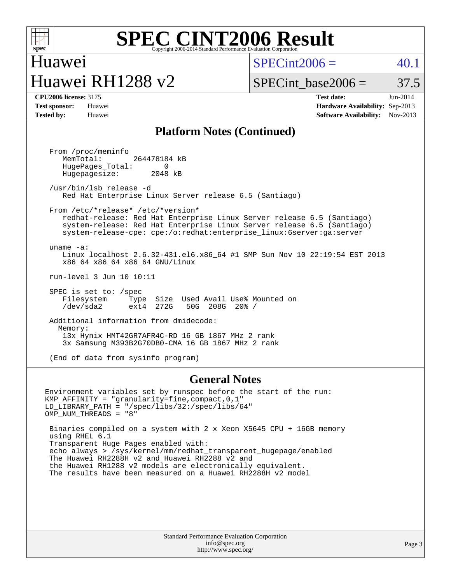

### Huawei Huawei RH1288 v2

 $SPECint2006 = 40.1$  $SPECint2006 = 40.1$ 

SPECint base2006 =  $37.5$ 

**[CPU2006 license:](http://www.spec.org/auto/cpu2006/Docs/result-fields.html#CPU2006license)** 3175 **[Test date:](http://www.spec.org/auto/cpu2006/Docs/result-fields.html#Testdate)** Jun-2014 **[Test sponsor:](http://www.spec.org/auto/cpu2006/Docs/result-fields.html#Testsponsor)** Huawei **[Hardware Availability:](http://www.spec.org/auto/cpu2006/Docs/result-fields.html#HardwareAvailability)** Sep-2013 **[Tested by:](http://www.spec.org/auto/cpu2006/Docs/result-fields.html#Testedby)** Huawei **[Software Availability:](http://www.spec.org/auto/cpu2006/Docs/result-fields.html#SoftwareAvailability)** Nov-2013

#### **[Platform Notes \(Continued\)](http://www.spec.org/auto/cpu2006/Docs/result-fields.html#PlatformNotes)**

 From /proc/meminfo MemTotal: 264478184 kB HugePages\_Total: 0<br>Hugepagesize: 2048 kB Hugepagesize: /usr/bin/lsb\_release -d Red Hat Enterprise Linux Server release 6.5 (Santiago) From /etc/\*release\* /etc/\*version\* redhat-release: Red Hat Enterprise Linux Server release 6.5 (Santiago) system-release: Red Hat Enterprise Linux Server release 6.5 (Santiago) system-release-cpe: cpe:/o:redhat:enterprise\_linux:6server:ga:server uname -a: Linux localhost 2.6.32-431.el6.x86\_64 #1 SMP Sun Nov 10 22:19:54 EST 2013 x86\_64 x86\_64 x86\_64 GNU/Linux run-level 3 Jun 10 10:11 SPEC is set to: /spec Filesystem Type Size Used Avail Use% Mounted on<br>
/dev/sda2 ext4 272G 50G 208G 20% / /dev/sda2 ext4 272G 50G 208G 20% / Additional information from dmidecode: Memory: 13x Hynix HMT42GR7AFR4C-RD 16 GB 1867 MHz 2 rank 3x Samsung M393B2G70DB0-CMA 16 GB 1867 MHz 2 rank

(End of data from sysinfo program)

#### **[General Notes](http://www.spec.org/auto/cpu2006/Docs/result-fields.html#GeneralNotes)**

Environment variables set by runspec before the start of the run: KMP\_AFFINITY = "granularity=fine,compact,0,1" LD\_LIBRARY\_PATH = "/spec/libs/32:/spec/libs/64" OMP\_NUM\_THREADS = "8"

 Binaries compiled on a system with 2 x Xeon X5645 CPU + 16GB memory using RHEL 6.1 Transparent Huge Pages enabled with: echo always > /sys/kernel/mm/redhat\_transparent\_hugepage/enabled The Huawei RH2288H v2 and Huawei RH2288 v2 and the Huawei RH1288 v2 models are electronically equivalent. The results have been measured on a Huawei RH2288H v2 model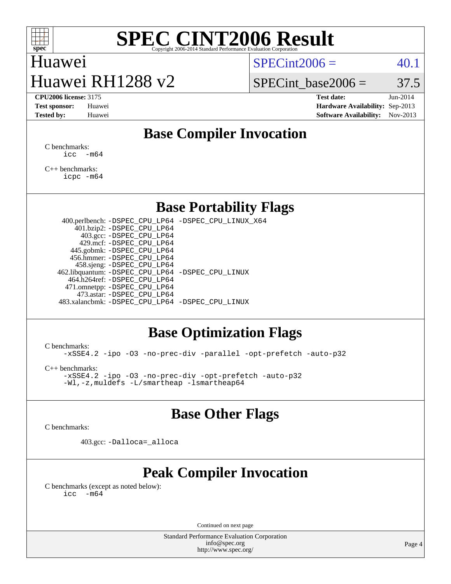

### Huawei Huawei RH1288 v2

 $SPECint2006 = 40.1$  $SPECint2006 = 40.1$ 

SPECint base2006 =  $37.5$ 

**[CPU2006 license:](http://www.spec.org/auto/cpu2006/Docs/result-fields.html#CPU2006license)** 3175 **[Test date:](http://www.spec.org/auto/cpu2006/Docs/result-fields.html#Testdate)** Jun-2014 **[Test sponsor:](http://www.spec.org/auto/cpu2006/Docs/result-fields.html#Testsponsor)** Huawei **[Hardware Availability:](http://www.spec.org/auto/cpu2006/Docs/result-fields.html#HardwareAvailability)** Sep-2013 **[Tested by:](http://www.spec.org/auto/cpu2006/Docs/result-fields.html#Testedby)** Huawei **[Software Availability:](http://www.spec.org/auto/cpu2006/Docs/result-fields.html#SoftwareAvailability)** Nov-2013

#### **[Base Compiler Invocation](http://www.spec.org/auto/cpu2006/Docs/result-fields.html#BaseCompilerInvocation)**

[C benchmarks](http://www.spec.org/auto/cpu2006/Docs/result-fields.html#Cbenchmarks):  $\text{icc}$   $-\text{m64}$ 

[C++ benchmarks:](http://www.spec.org/auto/cpu2006/Docs/result-fields.html#CXXbenchmarks) [icpc -m64](http://www.spec.org/cpu2006/results/res2014q3/cpu2006-20140612-29892.flags.html#user_CXXbase_intel_icpc_64bit_fc66a5337ce925472a5c54ad6a0de310)

#### **[Base Portability Flags](http://www.spec.org/auto/cpu2006/Docs/result-fields.html#BasePortabilityFlags)**

 400.perlbench: [-DSPEC\\_CPU\\_LP64](http://www.spec.org/cpu2006/results/res2014q3/cpu2006-20140612-29892.flags.html#b400.perlbench_basePORTABILITY_DSPEC_CPU_LP64) [-DSPEC\\_CPU\\_LINUX\\_X64](http://www.spec.org/cpu2006/results/res2014q3/cpu2006-20140612-29892.flags.html#b400.perlbench_baseCPORTABILITY_DSPEC_CPU_LINUX_X64) 401.bzip2: [-DSPEC\\_CPU\\_LP64](http://www.spec.org/cpu2006/results/res2014q3/cpu2006-20140612-29892.flags.html#suite_basePORTABILITY401_bzip2_DSPEC_CPU_LP64) 403.gcc: [-DSPEC\\_CPU\\_LP64](http://www.spec.org/cpu2006/results/res2014q3/cpu2006-20140612-29892.flags.html#suite_basePORTABILITY403_gcc_DSPEC_CPU_LP64) 429.mcf: [-DSPEC\\_CPU\\_LP64](http://www.spec.org/cpu2006/results/res2014q3/cpu2006-20140612-29892.flags.html#suite_basePORTABILITY429_mcf_DSPEC_CPU_LP64) 445.gobmk: [-DSPEC\\_CPU\\_LP64](http://www.spec.org/cpu2006/results/res2014q3/cpu2006-20140612-29892.flags.html#suite_basePORTABILITY445_gobmk_DSPEC_CPU_LP64) 456.hmmer: [-DSPEC\\_CPU\\_LP64](http://www.spec.org/cpu2006/results/res2014q3/cpu2006-20140612-29892.flags.html#suite_basePORTABILITY456_hmmer_DSPEC_CPU_LP64) 458.sjeng: [-DSPEC\\_CPU\\_LP64](http://www.spec.org/cpu2006/results/res2014q3/cpu2006-20140612-29892.flags.html#suite_basePORTABILITY458_sjeng_DSPEC_CPU_LP64) 462.libquantum: [-DSPEC\\_CPU\\_LP64](http://www.spec.org/cpu2006/results/res2014q3/cpu2006-20140612-29892.flags.html#suite_basePORTABILITY462_libquantum_DSPEC_CPU_LP64) [-DSPEC\\_CPU\\_LINUX](http://www.spec.org/cpu2006/results/res2014q3/cpu2006-20140612-29892.flags.html#b462.libquantum_baseCPORTABILITY_DSPEC_CPU_LINUX) 464.h264ref: [-DSPEC\\_CPU\\_LP64](http://www.spec.org/cpu2006/results/res2014q3/cpu2006-20140612-29892.flags.html#suite_basePORTABILITY464_h264ref_DSPEC_CPU_LP64) 471.omnetpp: [-DSPEC\\_CPU\\_LP64](http://www.spec.org/cpu2006/results/res2014q3/cpu2006-20140612-29892.flags.html#suite_basePORTABILITY471_omnetpp_DSPEC_CPU_LP64) 473.astar: [-DSPEC\\_CPU\\_LP64](http://www.spec.org/cpu2006/results/res2014q3/cpu2006-20140612-29892.flags.html#suite_basePORTABILITY473_astar_DSPEC_CPU_LP64) 483.xalancbmk: [-DSPEC\\_CPU\\_LP64](http://www.spec.org/cpu2006/results/res2014q3/cpu2006-20140612-29892.flags.html#suite_basePORTABILITY483_xalancbmk_DSPEC_CPU_LP64) [-DSPEC\\_CPU\\_LINUX](http://www.spec.org/cpu2006/results/res2014q3/cpu2006-20140612-29892.flags.html#b483.xalancbmk_baseCXXPORTABILITY_DSPEC_CPU_LINUX)

#### **[Base Optimization Flags](http://www.spec.org/auto/cpu2006/Docs/result-fields.html#BaseOptimizationFlags)**

[C benchmarks](http://www.spec.org/auto/cpu2006/Docs/result-fields.html#Cbenchmarks):

[-xSSE4.2](http://www.spec.org/cpu2006/results/res2014q3/cpu2006-20140612-29892.flags.html#user_CCbase_f-xSSE42_f91528193cf0b216347adb8b939d4107) [-ipo](http://www.spec.org/cpu2006/results/res2014q3/cpu2006-20140612-29892.flags.html#user_CCbase_f-ipo) [-O3](http://www.spec.org/cpu2006/results/res2014q3/cpu2006-20140612-29892.flags.html#user_CCbase_f-O3) [-no-prec-div](http://www.spec.org/cpu2006/results/res2014q3/cpu2006-20140612-29892.flags.html#user_CCbase_f-no-prec-div) [-parallel](http://www.spec.org/cpu2006/results/res2014q3/cpu2006-20140612-29892.flags.html#user_CCbase_f-parallel) [-opt-prefetch](http://www.spec.org/cpu2006/results/res2014q3/cpu2006-20140612-29892.flags.html#user_CCbase_f-opt-prefetch) [-auto-p32](http://www.spec.org/cpu2006/results/res2014q3/cpu2006-20140612-29892.flags.html#user_CCbase_f-auto-p32)

[C++ benchmarks:](http://www.spec.org/auto/cpu2006/Docs/result-fields.html#CXXbenchmarks)

[-xSSE4.2](http://www.spec.org/cpu2006/results/res2014q3/cpu2006-20140612-29892.flags.html#user_CXXbase_f-xSSE42_f91528193cf0b216347adb8b939d4107) [-ipo](http://www.spec.org/cpu2006/results/res2014q3/cpu2006-20140612-29892.flags.html#user_CXXbase_f-ipo) [-O3](http://www.spec.org/cpu2006/results/res2014q3/cpu2006-20140612-29892.flags.html#user_CXXbase_f-O3) [-no-prec-div](http://www.spec.org/cpu2006/results/res2014q3/cpu2006-20140612-29892.flags.html#user_CXXbase_f-no-prec-div) [-opt-prefetch](http://www.spec.org/cpu2006/results/res2014q3/cpu2006-20140612-29892.flags.html#user_CXXbase_f-opt-prefetch) [-auto-p32](http://www.spec.org/cpu2006/results/res2014q3/cpu2006-20140612-29892.flags.html#user_CXXbase_f-auto-p32) [-Wl,-z,muldefs](http://www.spec.org/cpu2006/results/res2014q3/cpu2006-20140612-29892.flags.html#user_CXXbase_link_force_multiple1_74079c344b956b9658436fd1b6dd3a8a) [-L/smartheap -lsmartheap64](http://www.spec.org/cpu2006/results/res2014q3/cpu2006-20140612-29892.flags.html#user_CXXbase_SmartHeap64_5e654037dadeae1fe403ab4b4466e60b)

#### **[Base Other Flags](http://www.spec.org/auto/cpu2006/Docs/result-fields.html#BaseOtherFlags)**

[C benchmarks](http://www.spec.org/auto/cpu2006/Docs/result-fields.html#Cbenchmarks):

403.gcc: [-Dalloca=\\_alloca](http://www.spec.org/cpu2006/results/res2014q3/cpu2006-20140612-29892.flags.html#b403.gcc_baseEXTRA_CFLAGS_Dalloca_be3056838c12de2578596ca5467af7f3)

### **[Peak Compiler Invocation](http://www.spec.org/auto/cpu2006/Docs/result-fields.html#PeakCompilerInvocation)**

[C benchmarks \(except as noted below\)](http://www.spec.org/auto/cpu2006/Docs/result-fields.html#Cbenchmarksexceptasnotedbelow):  $\text{icc}$  -m64

Continued on next page

Standard Performance Evaluation Corporation [info@spec.org](mailto:info@spec.org) <http://www.spec.org/>

Page 4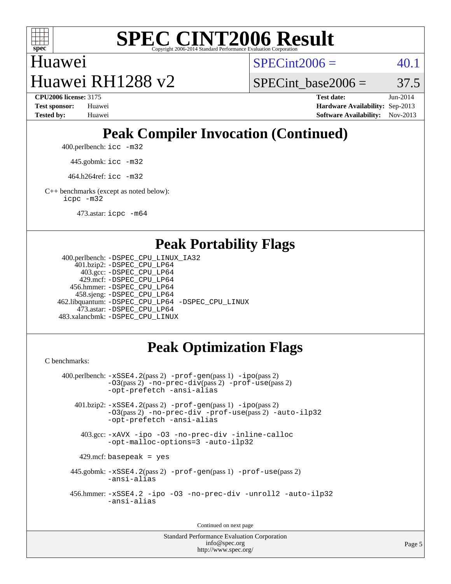

# Huawei

 $SPECint2006 = 40.1$  $SPECint2006 = 40.1$ 

Huawei RH1288 v2 **[CPU2006 license:](http://www.spec.org/auto/cpu2006/Docs/result-fields.html#CPU2006license)** 3175 **[Test date:](http://www.spec.org/auto/cpu2006/Docs/result-fields.html#Testdate)** Jun-2014

SPECint base2006 =  $37.5$ 

**[Test sponsor:](http://www.spec.org/auto/cpu2006/Docs/result-fields.html#Testsponsor)** Huawei **[Hardware Availability:](http://www.spec.org/auto/cpu2006/Docs/result-fields.html#HardwareAvailability)** Sep-2013 **[Tested by:](http://www.spec.org/auto/cpu2006/Docs/result-fields.html#Testedby)** Huawei **[Software Availability:](http://www.spec.org/auto/cpu2006/Docs/result-fields.html#SoftwareAvailability)** Nov-2013

### **[Peak Compiler Invocation \(Continued\)](http://www.spec.org/auto/cpu2006/Docs/result-fields.html#PeakCompilerInvocation)**

400.perlbench: [icc -m32](http://www.spec.org/cpu2006/results/res2014q3/cpu2006-20140612-29892.flags.html#user_peakCCLD400_perlbench_intel_icc_a6a621f8d50482236b970c6ac5f55f93)

445.gobmk: [icc -m32](http://www.spec.org/cpu2006/results/res2014q3/cpu2006-20140612-29892.flags.html#user_peakCCLD445_gobmk_intel_icc_a6a621f8d50482236b970c6ac5f55f93)

464.h264ref: [icc -m32](http://www.spec.org/cpu2006/results/res2014q3/cpu2006-20140612-29892.flags.html#user_peakCCLD464_h264ref_intel_icc_a6a621f8d50482236b970c6ac5f55f93)

[C++ benchmarks \(except as noted below\):](http://www.spec.org/auto/cpu2006/Docs/result-fields.html#CXXbenchmarksexceptasnotedbelow) [icpc -m32](http://www.spec.org/cpu2006/results/res2014q3/cpu2006-20140612-29892.flags.html#user_CXXpeak_intel_icpc_4e5a5ef1a53fd332b3c49e69c3330699)

473.astar: [icpc -m64](http://www.spec.org/cpu2006/results/res2014q3/cpu2006-20140612-29892.flags.html#user_peakCXXLD473_astar_intel_icpc_64bit_fc66a5337ce925472a5c54ad6a0de310)

#### **[Peak Portability Flags](http://www.spec.org/auto/cpu2006/Docs/result-fields.html#PeakPortabilityFlags)**

```
 400.perlbench: -DSPEC_CPU_LINUX_IA32
     401.bzip2: -DSPEC_CPU_LP64
       403.gcc: -DSPEC_CPU_LP64
      429.mcf: -DSPEC_CPU_LP64
    456.hmmer: -DSPEC_CPU_LP64
     458.sjeng: -DSPEC_CPU_LP64
 462.libquantum: -DSPEC_CPU_LP64 -DSPEC_CPU_LINUX
      473.astar: -DSPEC_CPU_LP64
 483.xalancbmk: -DSPEC_CPU_LINUX
```
### **[Peak Optimization Flags](http://www.spec.org/auto/cpu2006/Docs/result-fields.html#PeakOptimizationFlags)**

[C benchmarks](http://www.spec.org/auto/cpu2006/Docs/result-fields.html#Cbenchmarks):

```
 400.perlbench: -xSSE4.2(pass 2) -prof-gen(pass 1) -ipo(pass 2)
            -O3(pass 2) -no-prec-div(pass 2) -prof-use(pass 2)
           -opt-prefetch -ansi-alias
    401.bzip2: -xSSE4.2(pass 2) -prof-gen(pass 1) -ipo(pass 2)
            -O3(pass 2) -no-prec-div -prof-use(pass 2) -auto-ilp32
            -opt-prefetch -ansi-alias
     403.gcc: -xAVX -ipo -O3 -no-prec-div -inline-calloc
            -opt-malloc-options=3 -auto-ilp32
    429.mcf: basepeak = yes
   445.gobmk: -xSSE4.2(pass 2) -prof-gen(pass 1) -prof-use(pass 2)
            -ansi-alias
   456.hmmer: -xSSE4.2 -ipo -O3 -no-prec-div -unroll2 -auto-ilp32
            -ansi-alias
```
Continued on next page

```
Standard Performance Evaluation Corporation
              info@spec.org
           http://www.spec.org/
```